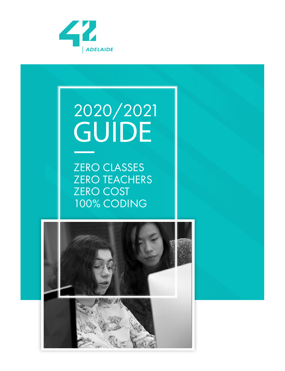

## 2020/2021 **GUIDE**

ZERO CLASSES ZERO TEACHERS **ZERO COST** 100% CODING

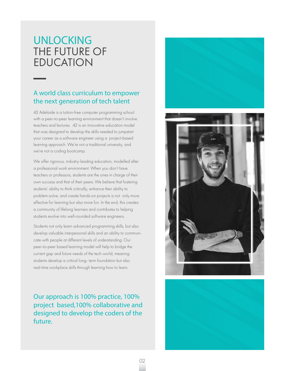## **UNLOCKING** THE FUTURE OF EDUCATION

#### A world class curriculum to empower the next generation of tech talent

42 Adelaide is a tuition-free computer programming school with a peer-to-peer learning environment that doesn't involve teachers and lectures. 42 is an innovative education model that was designed to develop the skills needed to jumpstart your career as a software engineer using a project-based learning approach. We're not a traditional university, and we're not a coding bootcamp.

We offer rigorous, industry-leading education, modelled after a professional work environment. When you don't have teachers or professors, students are the ones in charge of their own success and that of their peers. We believe that fostering students' ability to think critically, enhance their ability to problem-solve, and create hands-on projects is not only more effective for learning but also more fun. In the end, this creates a community of lifelong learners and contributes to helping students evolve into well-rounded software engineers.

Students not only learn advanced programming skills, but also develop valuable interpersonal skills and an ability to communicate with people at different levels of understanding. Our peer-to-peer based learning model will help to bridge the current gap and future needs of the tech world, meaning students develop a critical long- term foundation but also real-time workplace skills through learning how to learn.

Our approach is 100% practice, 100% project based,100% collaborative and designed to develop the coders of the future.



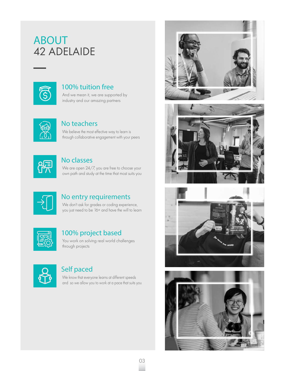## **ABOUT** 42 ADELAIDE



#### 100% tuition free

And we mean it, we are supported by industry and our amazing partners



#### No teachers

We believe the most effective way to learn is through collaborative engagement with your peers

| ______ |  |
|--------|--|
|        |  |

#### No classes

We are open 24/7, you are free to choose your own path and study at the time that most suits you



#### No entry requirements

We don't ask for grades or coding experience, you just need to be 16+ and have the will to learn



#### 100% project based

You work on solving real world challenges through projects



#### Self paced

We know that everyone learns at different speeds and so we allow you to work at a pace that suits you



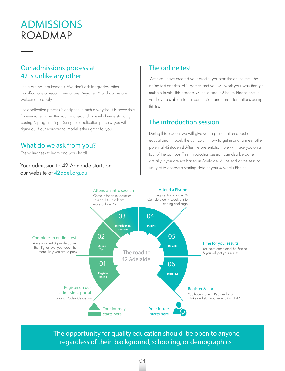## **ADMISSIONS** ROADMAP

#### Our admissions process at 42 is unlike any other

There are no requirements. We don't ask for grades, other qualifications or recommendations. Anyone 16 and above are welcome to apply.

The application process is designed in such a way that it is accessible for everyone, no matter your background or level of understanding in coding & programming. During the application process, you will figure out if our educational model is the right fit for you!

#### What do we ask from you?

The willingness to learn and work hard!

#### Your admission to 42 Adelaide starts on our website at 42adel.org.au

#### The online test

 After you have created your profile, you start the online test. The online test consists of 2 games and you will work your way through multiple levels. This process will take about 2 hours. Please ensure you have a stable internet connection and zero interruptions during this test.

#### The introduction session

During this session, we will give you a presentation about our educational model, the curriculum, how to get in and to meet other potential 42students! After the presentation, we will take you on a tour of the campus. This Introduction session can also be done virtually if you are not based in Adelaide. At the end of the session, you get to choose a starting date of your 4-weeks Piscine!



The opportunity for quality education should be open to anyone, regardless of their background, schooling, or demographics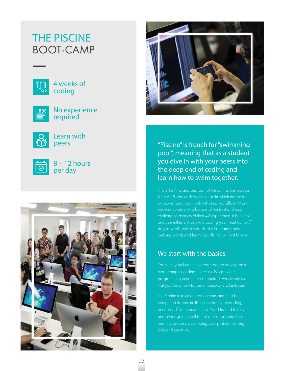## BOOT-CAMP **THE PISCINE**



4 weeks of coding



No experience required



Learn with peers



8 – 12 hours per day





"Piscine" is french for "swimming pool", meaning that as a student you dive in with your peers into the deep end of coding and learn how to swim together.

This is the final and best part of the admissions process. It is s a 28 day coding challenge in which motivation, willpower and hard work will keep you afloat. Many students consider it to be one of the best and most challenging aspects of their 42 experience. It is intense days a week, with hundreds of other candidates, building bonds and learning skills that will last forever.

#### We start with the basics

You write your first lines of code before moving on to more complex coding exercises. No previous programming experience is required. We simply ask

The Piscine takes place on campus and must be completed in-person. It's an incredibly rewarding, and over again, and this trial-and-error period is a learning process, developing your problem-solving skills and creativity.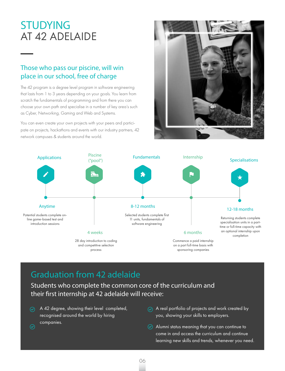## **STUDYING** AT 42 ADELAIDE

#### Those who pass our piscine, will win place in our school, free of charge

The 42 program is a degree level program in software engineering that lasts from 1 to 3 years depending on your goals. You learn from scratch the fundamentals of programming and from there you can choose your own path and specialise in a number of key area's such as Cyber, Networking, Gaming and Web and Systems.

You can even create your own projects with your peers and participate on projects, hackathons and events with our industry partners, 42 network campuses & students around the world.





## Graduation from 42 adelaide

Students who complete the common core of the curriculum and their first internship at 42 adelaide will receive:

A 42 degree, showing their level completed, recognised around the world by hiring companies.

 $\odot$ 

- $\circledcirc$  A real portfolio of projects and work created by you, showing your skills to employers.
- $\odot$  Alumni status meaning that you can continue to come in and access the curriculum and continue learning new skills and trends, whenever you need.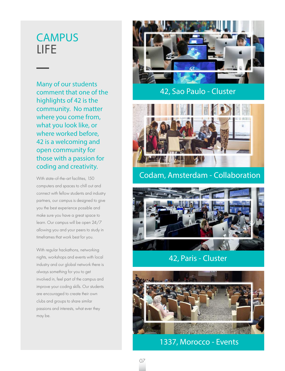## **CAMPUS** LIFE

Many of our students comment that one of the highlights of 42 is the community. No matter where you come from, what you look like, or where worked before, 42 is a welcoming and open community for those with a passion for coding and creativity.

With state-of-the-art facilities, 150 computers and spaces to chill out and connect with fellow students and industry partners, our campus is designed to give you the best experience possible and make sure you have a great space to learn. Our campus will be open 24/7 allowing you and your peers to study in timeframes that work best for you.

With regular hackathons, networking nights, workshops and events with local industry and our global network there is always something for you to get involved in, feel part of the campus and improve your coding skills. Our students are encouraged to create their own clubs and groups to share similar passions and interests, what ever they may be.



#### 42, Sao Paulo - Cluster



#### Codam, Amsterdam - Collaboration



#### 42, Paris - Cluster

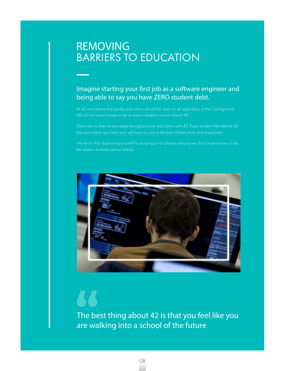## BARRIERS TO EDUCATION **REMOVING**

#### Imagine starting your first job as a software engineer and being able to say you have ZERO student debt.

At 42 we believe that quality education should be open to all regardless of their background.

There are no fees at any stage throughout your education with 42. Every student that attends 42 has earnt there spot here and will have access to the best infrastructure and equipment.

the reason students cannot attend.



The best thing about 42 is that you feel like you are walking into a school of the future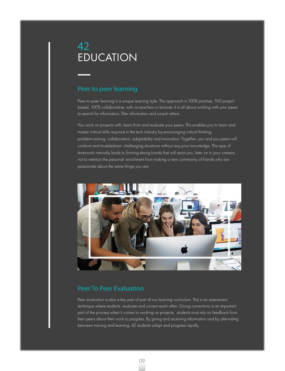#### Peer to peer learning

Peer-to-peer learning is a unique learning style. This approach is 100% practise, 100 project based, 100% collaborative, with no teachers or lectures. It is all about working with your peers to search for information, filter information and coach others.

You work on projects with, learn from and evaluate your peers. This enables you to learn and master critical skills required in the tech industry by encouraging critical thinking, problem-solving, collaboration, adaptability and innovation. Together, you and you peers will confront and troubleshoot challenging situations without any prior knowledge. This type of teamwork naturally leads to forming strong bonds that will assist you, later on in your careers, not to mention the personal enrichment from making a new community of friends who are passionate about the same things you are.



#### Peer To Peer Evaluation

Peer-evaluation is also a key part of part of our learning curriculum. This is an assessment technique where students evaluate and correct each other. Giving corrections is an important part of the process when it comes to working on projects; students must rely on feedback from their peers about their work to progress. By giving and receiving information and by alternating between training and learning, 42 students adapt and progress rapidly.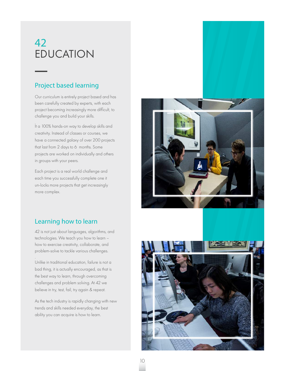#### Project based learning

Our curriculum is entirely project based and has been carefully created by experts, with each project becoming increasingly more difficult, to challenge you and build your skills.

. It a 100% hands-on way to develop skills and creativity. Instead of classes or courses, we have a connected galaxy of over 200 projects that last from 2 days to 6 months. Some projects are worked on individually and others in groups with your peers.

Each project is a real world challenge and each time you successfully complete one it un-locks more projects that get increasingly more complex.

#### Learning how to learn

42 is not just about languages, algorithms, and technologies. We teach you how to learn – how to exercise creativity, collaborate, and problem-solve to tackle various challenges.

. Unlike in traditional education, failure is not a bad thing, it is actually encouraged, as that is the best way to learn, through overcoming challenges and problem solving. At 42 we believe in try, test, fail, try again & repeat.

As the tech industry is rapidly changing with new trends and skills needed everyday, the best ability you can acquire is how to learn.

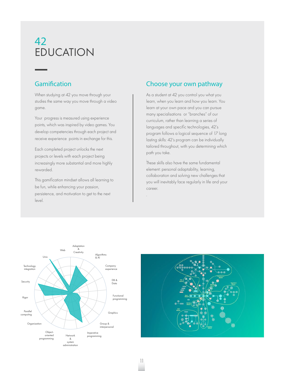#### Gamification

When studying at 42 you move through your studies the same way you move through a video game.

Your progress is measured using experience points, which was inspired by video games. You develop competencies through each project and receive experience points in exchange for this.

Each completed project unlocks the next projects or levels with each project being increasingly more substantial and more highly rewarded.

This gamification mindset allows all learning to be fun, while enhancing your passion, persistence, and motivation to get to the next level.

#### Choose your own pathway

As a student at 42 you control you what you learn, when you learn and how you learn. You learn at your own pace and you can pursue many specialisations or "branches" of our curriculum, rather than learning a series of languages and specific technologies, 42's program follows a logical sequence of 17 long lasting skills: 42's program can be individually tailored throughout, with you determining which path you take.

. These skills also have the same fundamental element: personal adaptability, learning, collaboration and solving new challenges that you will inevitably face regularly in life and your career.





.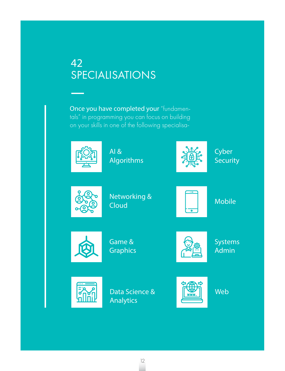## SPECIALISATIONS **42**

Once you have completed your "fundamentals" in programming you can focus on building on your skills in one of the following specialisa-



AI & Algorithms



**Cyber Security** 



Networking & Cloud



Mobile



Game & Graphics



Systems Admin



Data Science & Analytics



Web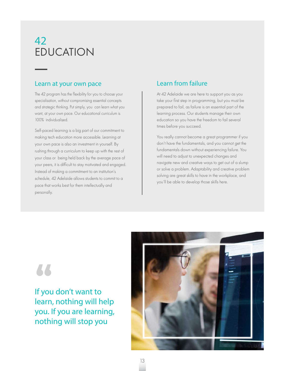#### Learn at your own pace

The 42 program has the flexibility for you to choose your specialisation, without compromising essential concepts and strategic thinking. Put simply, you can learn what you want, at your own pace. Our educational curriculum is 100% individualised.

Self-paced learning is a big part of our commitment to making tech education more accessible. Learning at your own pace is also an investment in yourself. By rushing through a curriculum to keep up with the rest of your class or being held back by the average pace of your peers, it is difficult to stay motivated and engaged. Instead of making a commitment to an institution's schedule, 42 Adelaide allows students to commit to a pace that works best for them intellectually and personally.

#### Learn from failure

At 42 Adelaide we are here to support you as you take your first step in programming, but you must be prepared to fail, as failure is an essential part of the learning process. Our students manage their own education so you have the freedom to fail several times before you succeed.

You really cannot become a great programmer if you don't have the fundamentals, and you cannot get the fundamentals down without experiencing failure. You will need to adjust to unexpected changes and navigate new and creative ways to get out of a slump or solve a problem. Adaptability and creative problem solving are great skills to have in the workplace, and you'll be able to develop those skills here.

## 66

If you don't want to learn, nothing will help you. If you are learning, nothing will stop you

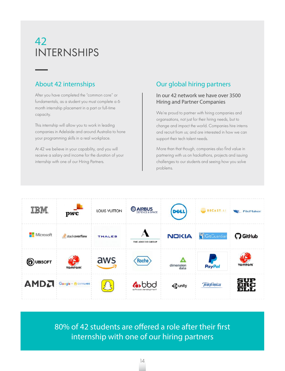## INTERNSHIPS **42**

#### About 42 internships

After you have completed the "common core" or fundamentals, as a student you must complete a 6 month internship placement in a part or full-time capacity.

This internship will allow you to work in leading companies in Adelaide and around Australia to hone your programming skills in a real workplace.

At 42 we believe in your capability, and you will receive a salary and income for the duration of your internship with one of our Hiring Partners.

#### Our global hiring partners

#### In our 42 network we have over 3500 Hiring and Partner Companies

We're proud to partner with hiring companies and organsations, not just for their hiring needs, but to change and impact the world. Companies hire interns and recruit from us; and are interested in how we can support their tech talent needs.

More than that though, companies also find value in partnering with us on hackathons, projects and issuing challenges to our students and seeing how you solve problems.



80% of 42 students are offered a role after their first internship with one of our hiring partners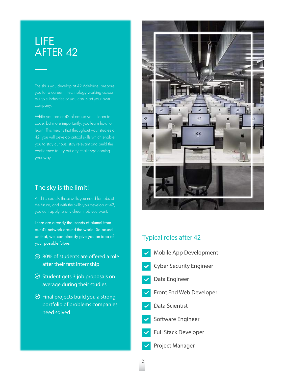## AFTER 42 **LIFE**

The skills you develop at 42 Adelaide, prepare you for a career in technology working across multiple industries or you can start your own

learn! This means that throughout your studies at confidence to try out any challenge coming

#### The sky is the limit!

the future, and with the skills you develop at 42, you can apply to any dream job you want.

There are already thousands of alumni from our 42 network around the world. So based on that, we can already give you an idea of your possible future:

- $\odot$  80% of students are offered a role after their first internship
- $\odot$  Student gets 3 job proposals on average during their studies
- $\odot$  Final projects build you a strong portfolio of problems companies need solved



#### Typical roles after 42

- Mobile App Development
- Cyber Security Engineer
- Data Engineer
- Front End Web Developer
- Data Scientist
- Software Engineer
- Full Stack Developer
- Project Manager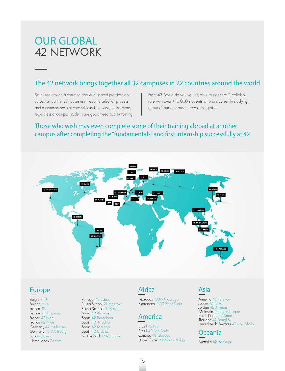## 42 NETWORK **OUR GLOBAL**

#### The 42 network brings together all 32 campuses in 22 countries around the world

Structured around a common charter of shared practices and values, all partner campuses use the same selection process and a common basis of core skills and knowledge. Therefore, regardless of campus, students are guaranteed quality training. From 42 Adelaide you will be able to connect & collaborate with over +10'000 students who are currently studying at our of our campuses across the globe.

#### Those who wish may even complete some of their training abroad at another campus after completing the "fundamentals" and first internship successfully at 42



#### **Europe**

Belgium 19 Finland Hive France 42 France 42 Angoulem France 42 Lyon France 42 Nice Germany 42 Heilbronn Germany 42 Wolfsburg Italy 42 Roma Netherlands Codam

Portugal 42 Lisboa Russia School 21-moscow Russia School 21- Kazan Spain 42 Alicante Spain 42 Barcelona Spain 42 Madrid Spain 42 Malaga Spain 42 Urduliz Switzerland 42 Lausanne

#### **Africa**

Morocco 1337-Khourbga Morcocco 1337-Ben Guerir

#### **America**

Brazil 42 Rio Brazil 42 Sao Paulo Canada 42 Quebec United States 42 Silicon Valley

#### **Asia**

Armenia 42 Yerevan Japan 42 Tokyo Jordan 42 Amman Malaysia 42 Kuala Lumpur South Korea 42 Seoul Thailand 42 Bangkok United Arab Emirates 42 Abu Dhabi



Austrolia 42 Adelaide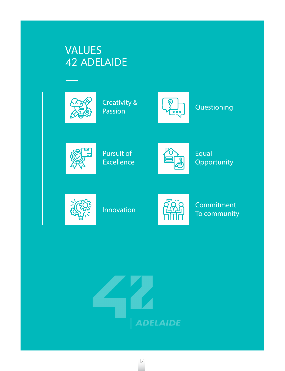## 42 ADELAIDE **VALUES**



Creativity & Passion



**Questioning** 



Pursuit of **Excellence** 



Equal **Opportunity** 



Innovation



**Commitment** To community